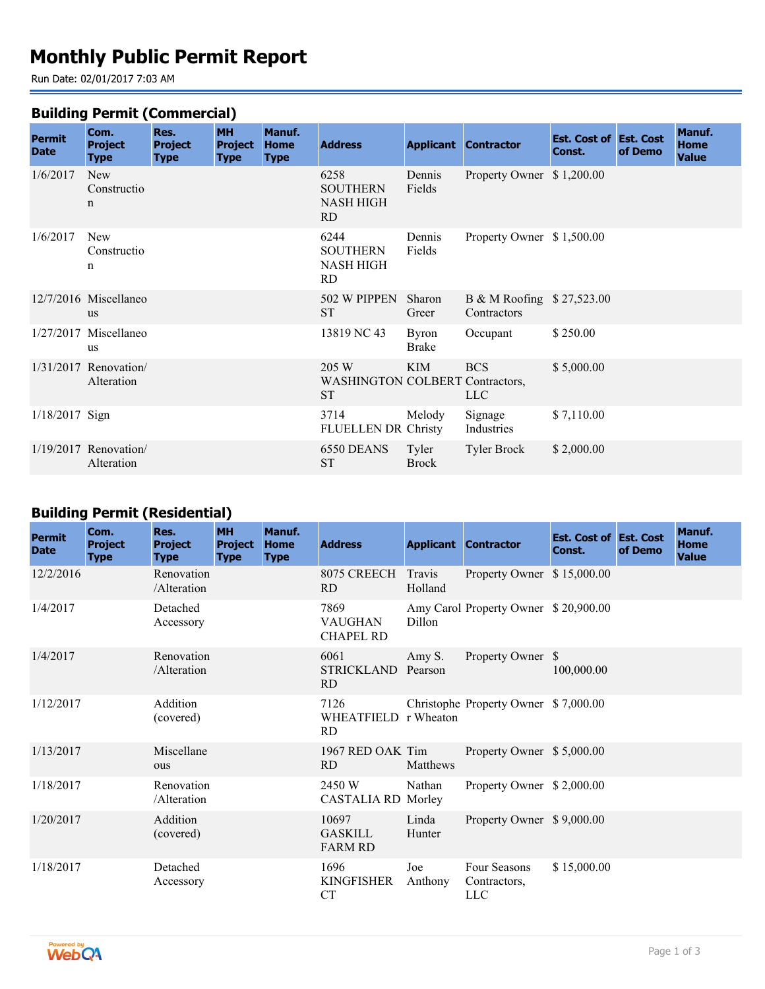# **Monthly Public Permit Report**

Run Date: 02/01/2017 7:03 AM

#### **Building Permit (Commercial)**

| <b>Permit</b><br><b>Date</b> | Com.<br><b>Project</b><br><b>Type</b>    | Res.<br><b>Project</b><br><b>Type</b> | <b>MH</b><br><b>Project</b><br><b>Type</b> | Manuf.<br><b>Home</b><br><b>Type</b> | <b>Address</b>                                               |                              | <b>Applicant Contractor</b>              | <b>Est. Cost of Est. Cost</b><br>Const. | of Demo | Manuf.<br><b>Home</b><br><b>Value</b> |
|------------------------------|------------------------------------------|---------------------------------------|--------------------------------------------|--------------------------------------|--------------------------------------------------------------|------------------------------|------------------------------------------|-----------------------------------------|---------|---------------------------------------|
| 1/6/2017                     | <b>New</b><br>Constructio<br>$\mathbf n$ |                                       |                                            |                                      | 6258<br><b>SOUTHERN</b><br>NASH HIGH<br>RD.                  | Dennis<br>Fields             | Property Owner \$1,200.00                |                                         |         |                                       |
| 1/6/2017                     | <b>New</b><br>Constructio<br>n           |                                       |                                            |                                      | 6244<br><b>SOUTHERN</b><br>NASH HIGH<br>RD.                  | Dennis<br>Fields             | Property Owner \$1,500.00                |                                         |         |                                       |
|                              | 12/7/2016 Miscellaneo<br><b>us</b>       |                                       |                                            |                                      | 502 W PIPPEN<br><b>ST</b>                                    | Sharon<br>Greer              | B & M Roofing \$27,523.00<br>Contractors |                                         |         |                                       |
|                              | $1/27/2017$ Miscellaneo<br>us            |                                       |                                            |                                      | 13819 NC 43                                                  | <b>Byron</b><br><b>Brake</b> | Occupant                                 | \$250.00                                |         |                                       |
|                              | $1/31/2017$ Renovation/<br>Alteration    |                                       |                                            |                                      | 205 W<br><b>WASHINGTON COLBERT Contractors,</b><br><b>ST</b> | <b>KIM</b>                   | <b>BCS</b><br>LLC                        | \$5,000.00                              |         |                                       |
| $1/18/2017$ Sign             |                                          |                                       |                                            |                                      | 3714<br><b>FLUELLEN DR Christy</b>                           | Melody                       | Signage<br>Industries                    | \$7,110.00                              |         |                                       |
|                              | 1/19/2017 Renovation/<br>Alteration      |                                       |                                            |                                      | 6550 DEANS<br><b>ST</b>                                      | Tyler<br><b>Brock</b>        | <b>Tyler Brock</b>                       | \$2,000.00                              |         |                                       |

## **Building Permit (Residential)**

| <b>Permit</b><br><b>Date</b> | Com.<br><b>Project</b><br><b>Type</b> | Res.<br><b>Project</b><br><b>Type</b> | <b>MH</b><br><b>Project</b><br><b>Type</b> | Manuf.<br><b>Home</b><br><b>Type</b> | <b>Address</b>                             |                   | <b>Applicant Contractor</b>                | <b>Est. Cost of Est. Cost</b><br>Const. | of Demo | Manuf.<br><b>Home</b><br><b>Value</b> |
|------------------------------|---------------------------------------|---------------------------------------|--------------------------------------------|--------------------------------------|--------------------------------------------|-------------------|--------------------------------------------|-----------------------------------------|---------|---------------------------------------|
| 12/2/2016                    |                                       | Renovation<br>/Alteration             |                                            |                                      | 8075 CREECH<br><b>RD</b>                   | Travis<br>Holland | Property Owner \$15,000.00                 |                                         |         |                                       |
| 1/4/2017                     |                                       | Detached<br>Accessory                 |                                            |                                      | 7869<br><b>VAUGHAN</b><br><b>CHAPEL RD</b> | Dillon            | Amy Carol Property Owner \$20,900.00       |                                         |         |                                       |
| 1/4/2017                     |                                       | Renovation<br>/Alteration             |                                            |                                      | 6061<br>STRICKLAND<br><b>RD</b>            | Amy S.<br>Pearson | Property Owner \$                          | 100,000.00                              |         |                                       |
| 1/12/2017                    |                                       | Addition<br>(covered)                 |                                            |                                      | 7126<br>WHEATFIELD r Wheaton<br><b>RD</b>  |                   | Christophe Property Owner \$7,000.00       |                                         |         |                                       |
| 1/13/2017                    |                                       | Miscellane<br>ous                     |                                            |                                      | 1967 RED OAK Tim<br><b>RD</b>              | Matthews          | Property Owner \$5,000.00                  |                                         |         |                                       |
| 1/18/2017                    |                                       | Renovation<br>/Alteration             |                                            |                                      | 2450 W<br><b>CASTALIA RD Morley</b>        | Nathan            | Property Owner \$2,000.00                  |                                         |         |                                       |
| 1/20/2017                    |                                       | Addition<br>(covered)                 |                                            |                                      | 10697<br><b>GASKILL</b><br><b>FARM RD</b>  | Linda<br>Hunter   | Property Owner \$9,000.00                  |                                         |         |                                       |
| 1/18/2017                    |                                       | Detached<br>Accessory                 |                                            |                                      | 1696<br><b>KINGFISHER</b><br><b>CT</b>     | Joe<br>Anthony    | Four Seasons<br>Contractors,<br><b>LLC</b> | \$15,000.00                             |         |                                       |

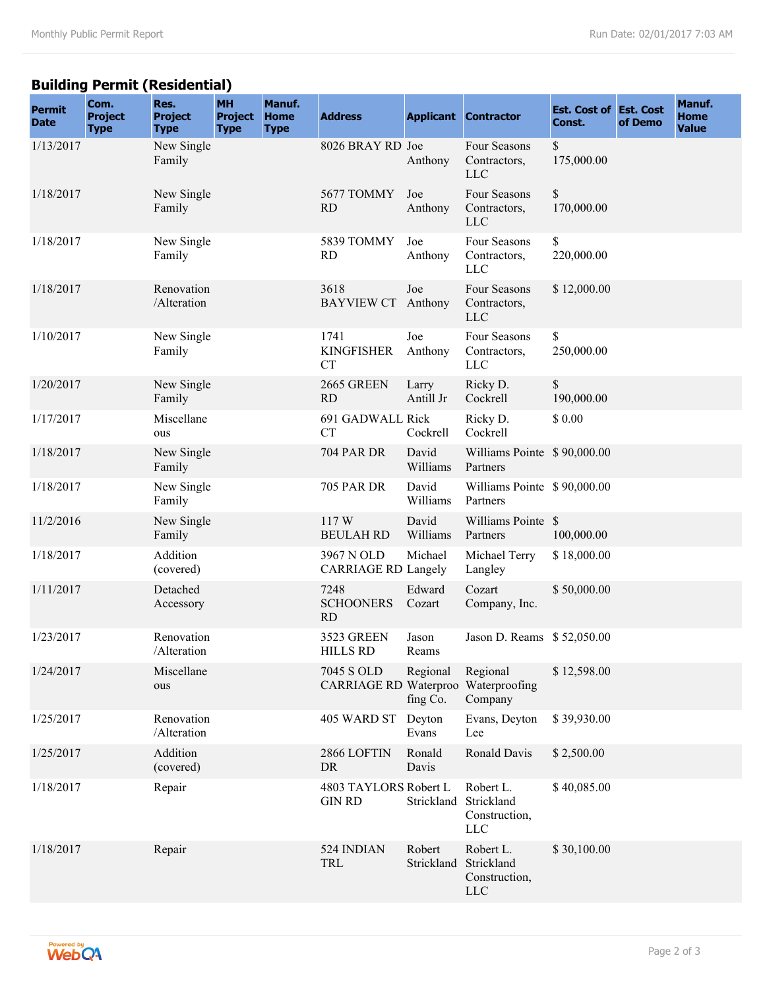## **Building Permit (Residential)**

| <b>Permit</b><br><b>Date</b> | Com.<br><b>Project</b><br><b>Type</b> | Res.<br><b>Project</b><br><b>Type</b> | <b>MH</b><br><b>Project</b><br><b>Type</b> | Manuf.<br><b>Home</b><br><b>Type</b> | <b>Address</b>                                    |                      | <b>Applicant Contractor</b>                            | <b>Est. Cost of Est. Cost</b><br>Const. | of Demo | Manuf.<br><b>Home</b><br><b>Value</b> |
|------------------------------|---------------------------------------|---------------------------------------|--------------------------------------------|--------------------------------------|---------------------------------------------------|----------------------|--------------------------------------------------------|-----------------------------------------|---------|---------------------------------------|
| 1/13/2017                    |                                       | New Single<br>Family                  |                                            |                                      | 8026 BRAY RD Joe                                  | Anthony              | Four Seasons<br>Contractors,<br><b>LLC</b>             | \$<br>175,000.00                        |         |                                       |
| 1/18/2017                    |                                       | New Single<br>Family                  |                                            |                                      | 5677 TOMMY<br><b>RD</b>                           | Joe<br>Anthony       | Four Seasons<br>Contractors,<br><b>LLC</b>             | $\mathbb S$<br>170,000.00               |         |                                       |
| 1/18/2017                    |                                       | New Single<br>Family                  |                                            |                                      | 5839 TOMMY<br><b>RD</b>                           | Joe<br>Anthony       | Four Seasons<br>Contractors,<br><b>LLC</b>             | \$<br>220,000.00                        |         |                                       |
| 1/18/2017                    |                                       | Renovation<br>/Alteration             |                                            |                                      | 3618<br><b>BAYVIEW CT</b>                         | Joe<br>Anthony       | Four Seasons<br>Contractors,<br>$LLC$                  | \$12,000.00                             |         |                                       |
| 1/10/2017                    |                                       | New Single<br>Family                  |                                            |                                      | 1741<br><b>KINGFISHER</b><br><b>CT</b>            | Joe<br>Anthony       | Four Seasons<br>Contractors,<br><b>LLC</b>             | \$<br>250,000.00                        |         |                                       |
| 1/20/2017                    |                                       | New Single<br>Family                  |                                            |                                      | 2665 GREEN<br><b>RD</b>                           | Larry<br>Antill Jr   | Ricky D.<br>Cockrell                                   | \$<br>190,000.00                        |         |                                       |
| 1/17/2017                    |                                       | Miscellane<br>ous                     |                                            |                                      | 691 GADWALL Rick<br><b>CT</b>                     | Cockrell             | Ricky D.<br>Cockrell                                   | \$0.00                                  |         |                                       |
| 1/18/2017                    |                                       | New Single<br>Family                  |                                            |                                      | <b>704 PAR DR</b>                                 | David<br>Williams    | Williams Pointe \$90,000.00<br>Partners                |                                         |         |                                       |
| 1/18/2017                    |                                       | New Single<br>Family                  |                                            |                                      | <b>705 PAR DR</b>                                 | David<br>Williams    | Williams Pointe \$90,000.00<br>Partners                |                                         |         |                                       |
| 11/2/2016                    |                                       | New Single<br>Family                  |                                            |                                      | 117W<br><b>BEULAH RD</b>                          | David<br>Williams    | Williams Pointe \$<br>Partners                         | 100,000.00                              |         |                                       |
| 1/18/2017                    |                                       | Addition<br>(covered)                 |                                            |                                      | 3967 N OLD<br><b>CARRIAGE RD Langely</b>          | Michael              | Michael Terry<br>Langley                               | \$18,000.00                             |         |                                       |
| 1/11/2017                    |                                       | Detached<br>Accessory                 |                                            |                                      | 7248<br><b>SCHOONERS</b><br>RD                    | Edward<br>Cozart     | Cozart<br>Company, Inc.                                | \$50,000.00                             |         |                                       |
| 1/23/2017                    |                                       | Renovation<br>/Alteration             |                                            |                                      | 3523 GREEN<br><b>HILLS RD</b>                     | Jason<br>Reams       | Jason D. Reams \$52,050.00                             |                                         |         |                                       |
| 1/24/2017                    |                                       | Miscellane<br>ous                     |                                            |                                      | 7045 S OLD<br>CARRIAGE RD Waterproo Waterproofing | Regional<br>fing Co. | Regional<br>Company                                    | \$12,598.00                             |         |                                       |
| 1/25/2017                    |                                       | Renovation<br>/Alteration             |                                            |                                      | 405 WARD ST                                       | Deyton<br>Evans      | Evans, Deyton<br>Lee                                   | \$39,930.00                             |         |                                       |
| 1/25/2017                    |                                       | Addition<br>(covered)                 |                                            |                                      | 2866 LOFTIN<br>DR                                 | Ronald<br>Davis      | Ronald Davis                                           | \$2,500.00                              |         |                                       |
| 1/18/2017                    |                                       | Repair                                |                                            |                                      | 4803 TAYLORS Robert L<br><b>GIN RD</b>            | Strickland           | Robert L.<br>Strickland<br>Construction,<br><b>LLC</b> | \$40,085.00                             |         |                                       |
| 1/18/2017                    |                                       | Repair                                |                                            |                                      | 524 INDIAN<br>TRL                                 | Robert<br>Strickland | Robert L.<br>Strickland<br>Construction,<br><b>LLC</b> | \$30,100.00                             |         |                                       |